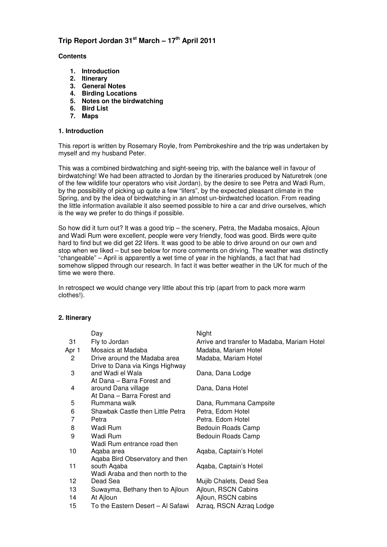# **Trip Report Jordan 31st March – 17th April 2011**

#### **Contents**

- **1. Introduction**
- **2. Itinerary**
- **3. General Notes**
- **4. Birding Locations**
- **5. Notes on the birdwatching**
- **6. Bird List**
- **7. Maps**

#### **1. Introduction**

This report is written by Rosemary Royle, from Pembrokeshire and the trip was undertaken by myself and my husband Peter.

This was a combined birdwatching and sight-seeing trip, with the balance well in favour of birdwatching! We had been attracted to Jordan by the itineraries produced by Naturetrek (one of the few wildlife tour operators who visit Jordan), by the desire to see Petra and Wadi Rum, by the possibility of picking up quite a few "lifers", by the expected pleasant climate in the Spring, and by the idea of birdwatching in an almost un-birdwatched location. From reading the little information available it also seemed possible to hire a car and drive ourselves, which is the way we prefer to do things if possible.

So how did it turn out? It was a good trip – the scenery, Petra, the Madaba mosaics, Ajloun and Wadi Rum were excellent, people were very friendly, food was good. Birds were quite hard to find but we did get 22 lifers. It was good to be able to drive around on our own and stop when we liked – but see below for more comments on driving. The weather was distinctly "changeable" – April is apparently a wet time of year in the highlands, a fact that had somehow slipped through our research. In fact it was better weather in the UK for much of the time we were there.

In retrospect we would change very little about this trip (apart from to pack more warm clothes!).

## **2. Itinerary**

| Day                                               | Night                                                         |
|---------------------------------------------------|---------------------------------------------------------------|
| Fly to Jordan                                     | Arrive and transfer to Madaba, Mariam Hotel                   |
| Mosaics at Madaba                                 | Madaba, Mariam Hotel                                          |
| Drive around the Madaba area                      | Madaba, Mariam Hotel                                          |
| and Wadi el Wala                                  | Dana, Dana Lodge                                              |
| around Dana village<br>At Dana - Barra Forest and | Dana, Dana Hotel                                              |
| Rummana walk                                      | Dana, Rummana Campsite                                        |
| Shawbak Castle then Little Petra                  | Petra, Edom Hotel                                             |
| Petra                                             | Petra. Edom Hotel                                             |
| Wadi Rum                                          | Bedouin Roads Camp                                            |
| Wadi Rum<br>Wadi Rum entrance road then           | Bedouin Roads Camp                                            |
| Aqaba area<br>Agaba Bird Observatory and then     | Agaba, Captain's Hotel                                        |
| south Aqaba<br>Wadi Araba and then north to the   | Aqaba, Captain's Hotel                                        |
| Dead Sea                                          | Mujib Chalets, Dead Sea                                       |
| Suwayma, Bethany then to Ajloun                   | Ajloun, RSCN Cabins                                           |
| At Ajloun                                         | Ajloun, RSCN cabins                                           |
| To the Eastern Desert – Al Safawi                 | Azraq, RSCN Azraq Lodge                                       |
|                                                   | Drive to Dana via Kings Highway<br>At Dana - Barra Forest and |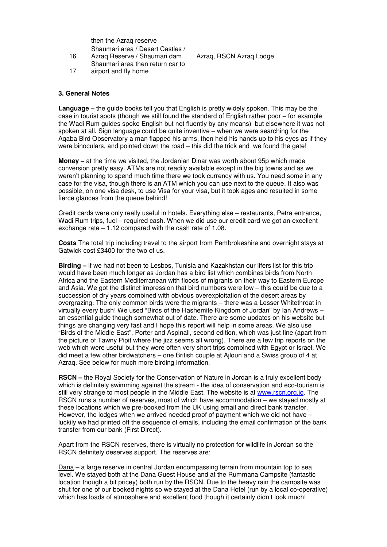then the Azraq reserve Shaumari area / Desert Castles /

- 16 Azrag Reserve / Shaumari dam Azrag, RSCN Azrag Lodge Shaumari area then return car to
- 17 airport and fly home

#### **3. General Notes**

**Language –** the guide books tell you that English is pretty widely spoken. This may be the case in tourist spots (though we still found the standard of English rather poor – for example the Wadi Rum guides spoke English but not fluently by any means) but elsewhere it was not spoken at all. Sign language could be quite inventive – when we were searching for the Aqaba Bird Observatory a man flapped his arms, then held his hands up to his eyes as if they were binoculars, and pointed down the road – this did the trick and we found the gate!

**Money –** at the time we visited, the Jordanian Dinar was worth about 95p which made conversion pretty easy. ATMs are not readily available except in the big towns and as we weren't planning to spend much time there we took currency with us. You need some in any case for the visa, though there is an ATM which you can use next to the queue. It also was possible, on one visa desk, to use Visa for your visa, but it took ages and resulted in some fierce glances from the queue behind!

Credit cards were only really useful in hotels. Everything else – restaurants, Petra entrance, Wadi Rum trips, fuel – required cash. When we did use our credit card we got an excellent exchange rate – 1.12 compared with the cash rate of 1.08.

**Costs** The total trip including travel to the airport from Pembrokeshire and overnight stays at Gatwick cost £3400 for the two of us.

**Birding** – if we had not been to Lesbos, Tunisia and Kazakhstan our lifers list for this trip would have been much longer as Jordan has a bird list which combines birds from North Africa and the Eastern Mediterranean with floods of migrants on their way to Eastern Europe and Asia. We got the distinct impression that bird numbers were low – this could be due to a succession of dry years combined with obvious overexploitation of the desert areas by overgrazing. The only common birds were the migrants – there was a Lesser Whitethroat in virtually every bush! We used "Birds of the Hashemite Kingdom of Jordan" by Ian Andrews – an essential guide though somewhat out of date. There are some updates on his website but things are changing very fast and I hope this report will help in some areas. We also use "Birds of the Middle East", Porter and Aspinall, second edition, which was just fine (apart from the picture of Tawny Pipit where the jizz seems all wrong). There are a few trip reports on the web which were useful but they were often very short trips combined with Egypt or Israel. We did meet a few other birdwatchers – one British couple at Ajloun and a Swiss group of 4 at Azraq. See below for much more birding information.

**RSCN** – the Royal Society for the Conservation of Nature in Jordan is a truly excellent body which is definitely swimming against the stream - the idea of conservation and eco-tourism is still very strange to most people in the Middle East. The website is at www.rscn.org.jo. The RSCN runs a number of reserves, most of which have accommodation – we stayed mostly at these locations which we pre-booked from the UK using email and direct bank transfer. However, the lodges when we arrived needed proof of payment which we did not have  $$ luckily we had printed off the sequence of emails, including the email confirmation of the bank transfer from our bank (First Direct).

Apart from the RSCN reserves, there is virtually no protection for wildlife in Jordan so the RSCN definitely deserves support. The reserves are:

Dana – a large reserve in central Jordan encompassing terrain from mountain top to sea level. We stayed both at the Dana Guest House and at the Rummana Campsite (fantastic location though a bit pricey) both run by the RSCN. Due to the heavy rain the campsite was shut for one of our booked nights so we stayed at the Dana Hotel (run by a local co-operative) which has loads of atmosphere and excellent food though it certainly didn't look much!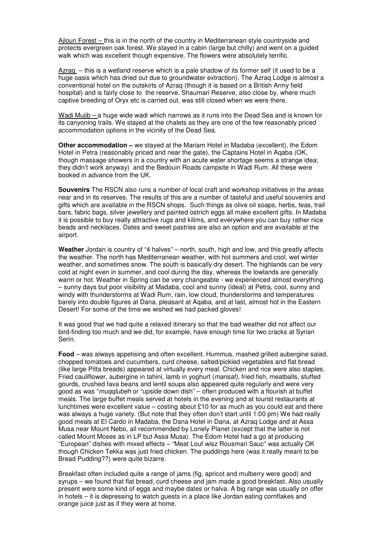Ajloun Forest – this is in the north of the country in Mediterranean style countryside and protects evergreen oak forest. We stayed in a cabin (large but chilly) and went on a guided walk which was excellent though expensive. The flowers were absolutely terrific.

Azraq – this is a wetland reserve which is a pale shadow of its former self (it used to be a huge oasis which has dried out due to groundwater extraction). The Azraq Lodge is almost a conventional hotel on the outskirts of Azraq (though it is based on a British Army field hospital) and is fairly close to the reserve. Shaumari Reserve, also close by, where much captive breeding of Oryx etc is carried out, was still closed when we were there.

Wadi Mujib – a huge wide wadi which narrows as it runs into the Dead Sea and is known for its canyoning trails. We stayed at the chalets as they are one of the few reasonably priced accommodation options in the vicinity of the Dead Sea.

**Other accommodation –** we stayed at the Mariam Hotel in Madaba (excellent), the Edom Hotel in Petra (reasonably priced and near the gate), the Captains Hotel in Aqaba (OK, though massage showers in a country with an acute water shortage seems a strange idea; they didn't work anyway) and the Bedouin Roads campsite in Wadi Rum. All these were booked in advance from the UK.

**Souvenirs** The RSCN also runs a number of local craft and workshop initiatives in the areas near and in its reserves. The results of this are a number of tasteful and useful souvenirs and gifts which are available in the RSCN shops. Such things as olive oil soaps, herbs, teas, trail bars, fabric bags, silver jewellery and painted ostrich eggs all make excellent gifts. In Madaba it is possible to buy really attractive rugs and kilims, and everywhere you can buy rather nice beads and necklaces. Dates and sweet pastries are also an option and are available at the airport.

**Weather** Jordan is country of "4 halves" – north, south, high and low, and this greatly affects the weather. The north has Mediterranean weather, with hot summers and cool, wet winter weather, and sometimes snow. The south is basically dry desert. The highlands can be very cold at night even in summer, and cool during the day, whereas the lowlands are generally warm or hot. Weather in Spring can be very changeable - we experienced almost everything – sunny days but poor visibility at Madaba, cool and sunny (ideal) at Petra, cool, sunny and windy with thunderstorms at Wadi Rum, rain, low cloud, thunderstorms and temperatures barely into double figures at Dana, pleasant at Aqaba, and at last, almost hot in the Eastern Desert! For some of the time we wished we had packed gloves!

It was good that we had quite a relaxed itinerary so that the bad weather did not affect our bird-finding too much and we did, for example, have enough time for two cracks at Syrian Serin.

**Food** – was always appetising and often excellent. Hummus, mashed grilled aubergine salad, chopped tomatoes and cucumbers, curd cheese, salted/pickled vegetables and flat bread (like large Pitta breads) appeared at virtually every meal. Chicken and rice were also staples. Fried cauliflower, aubergine in tahini, lamb in yoghurt (mansaf), fried fish, meatballs, stuffed gourds, crushed fava beans and lentil soups also appeared quite regularly and were very good as was "muqqlubeh or "upside down dish" – often produced with a flourish at buffet meals. The large buffet meals served at hotels in the evening and at tourist restaurants at lunchtimes were excellent value – costing about £10 for as much as you could eat and there was always a huge variety. (But note that they often don't start until 1:00 pm) We had really good meals at El Cardo in Madaba, the Dana Hotel in Dana, at Azraq Lodge and at Assa Musa near Mount Nebo, all recommended by Lonely Planet (except that the latter is not called Mount Moses as in LP but Assa Musa). The Edom Hotel had a go at producing "European" dishes with mixed effects – "Meat Louf wisz Rousmari Sauc" was actually OK though Chicken Tekka was just fried chicken. The puddings here (was it really meant to be Bread Pudding??) were quite bizarre.

Breakfast often included quite a range of jams (fig, apricot and mulberry were good) and syrups – we found that flat bread, curd cheese and jam made a good breakfast. Also usually present were some kind of eggs and maybe dates or halva. A big range was usually on offer in hotels – it is depressing to watch guests in a place like Jordan eating cornflakes and orange juice just as if they were at home.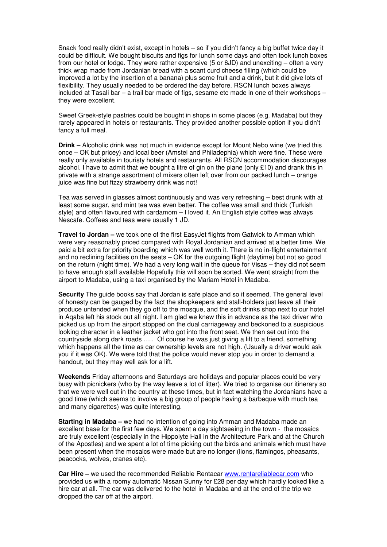Snack food really didn't exist, except in hotels – so if you didn't fancy a big buffet twice day it could be difficult. We bought biscuits and figs for lunch some days and often took lunch boxes from our hotel or lodge. They were rather expensive (5 or 6JD) and unexciting – often a very thick wrap made from Jordanian bread with a scant curd cheese filling (which could be improved a lot by the insertion of a banana) plus some fruit and a drink, but it did give lots of flexibility. They usually needed to be ordered the day before. RSCN lunch boxes always included at Tasali bar – a trail bar made of figs, sesame etc made in one of their workshops – they were excellent.

Sweet Greek-style pastries could be bought in shops in some places (e.g. Madaba) but they rarely appeared in hotels or restaurants. They provided another possible option if you didn't fancy a full meal.

**Drink –** Alcoholic drink was not much in evidence except for Mount Nebo wine (we tried this once – OK but pricey) and local beer (Amstel and Philadephia) which were fine. These were really only available in touristy hotels and restaurants. All RSCN accommodation discourages alcohol. I have to admit that we bought a litre of gin on the plane (only  $£10$ ) and drank this in private with a strange assortment of mixers often left over from our packed lunch – orange juice was fine but fizzy strawberry drink was not!

Tea was served in glasses almost continuously and was very refreshing – best drunk with at least some sugar, and mint tea was even better. The coffee was small and thick (Turkish style) and often flavoured with cardamom – I loved it. An English style coffee was always Nescafe. Coffees and teas were usually 1 JD.

**Travel to Jordan –** we took one of the first EasyJet flights from Gatwick to Amman which were very reasonably priced compared with Royal Jordanian and arrived at a better time. We paid a bit extra for priority boarding which was well worth it. There is no in-flight entertainment and no reclining facilities on the seats – OK for the outgoing flight (daytime) but not so good on the return (night time). We had a very long wait in the queue for Visas – they did not seem to have enough staff available Hopefully this will soon be sorted. We went straight from the airport to Madaba, using a taxi organised by the Mariam Hotel in Madaba.

**Security** The guide books say that Jordan is safe place and so it seemed. The general level of honesty can be gauged by the fact the shopkeepers and stall-holders just leave all their produce untended when they go off to the mosque, and the soft drinks shop next to our hotel in Aqaba left his stock out all night. I am glad we knew this in advance as the taxi driver who picked us up from the airport stopped on the dual carriageway and beckoned to a suspicious looking character in a leather jacket who got into the front seat. We then set out into the countryside along dark roads ….. Of course he was just giving a lift to a friend, something which happens all the time as car ownership levels are not high. (Usually a driver would ask you if it was OK). We were told that the police would never stop you in order to demand a handout, but they may well ask for a lift.

**Weekends** Friday afternoons and Saturdays are holidays and popular places could be very busy with picnickers (who by the way leave a lot of litter). We tried to organise our itinerary so that we were well out in the country at these times, but in fact watching the Jordanians have a good time (which seems to involve a big group of people having a barbeque with much tea and many cigarettes) was quite interesting.

**Starting in Madaba –** we had no intention of going into Amman and Madaba made an excellent base for the first few days. We spent a day sightseeing in the town - the mosaics are truly excellent (especially in the Hippolyte Hall in the Architecture Park and at the Church of the Apostles) and we spent a lot of time picking out the birds and animals which must have been present when the mosaics were made but are no longer (lions, flamingos, pheasants, peacocks, wolves, cranes etc).

**Car Hire –** we used the recommended Reliable Rentacar www.rentareliablecar.com who provided us with a roomy automatic Nissan Sunny for £28 per day which hardly looked like a hire car at all. The car was delivered to the hotel in Madaba and at the end of the trip we dropped the car off at the airport.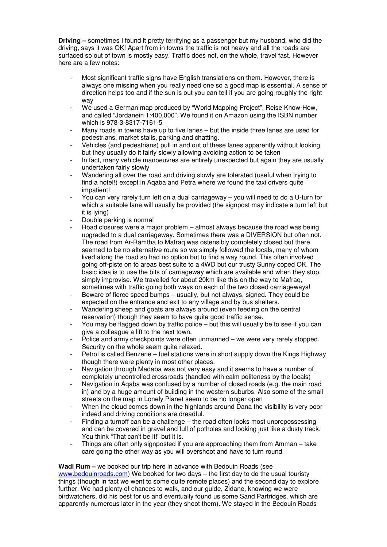**Driving –** sometimes I found it pretty terrifying as a passenger but my husband, who did the driving, says it was OK! Apart from in towns the traffic is not heavy and all the roads are surfaced so out of town is mostly easy. Traffic does not, on the whole, travel fast. However here are a few notes:

- Most significant traffic signs have English translations on them. However, there is always one missing when you really need one so a good map is essential. A sense of direction helps too and if the sun is out you can tell if you are going roughly the right way
- We used a German map produced by "World Mapping Project", Reise Know-How, and called "Jordanein 1:400,000". We found it on Amazon using the ISBN number which is 978-3-8317-7161-5
- Many roads in towns have up to five lanes  $-$  but the inside three lanes are used for pedestrians, market stalls, parking and chatting.
- Vehicles (and pedestrians) pull in and out of these lanes apparently without looking but they usually do it fairly slowly allowing avoiding action to be taken
- In fact, many vehicle manoeuvres are entirely unexpected but again they are usually undertaken fairly slowly
- Wandering all over the road and driving slowly are tolerated (useful when trying to find a hotel!) except in Aqaba and Petra where we found the taxi drivers quite impatient!
- You can very rarely turn left on a dual carriageway you will need to do a U-turn for which a suitable lane will usually be provided (the signpost may indicate a turn left but it is lying)
- Double parking is normal
- Road closures were a major problem almost always because the road was being upgraded to a dual carriageway. Sometimes there was a DIVERSION but often not. The road from Ar-Ramtha to Mafraq was ostensibly completely closed but there seemed to be no alternative route so we simply followed the locals, many of whom lived along the road so had no option but to find a way round. This often involved going off-piste on to areas best suite to a 4WD but our trusty Sunny coped OK. The basic idea is to use the bits of carriageway which are available and when they stop, simply improvise. We travelled for about 20km like this on the way to Mafraq, sometimes with traffic going both ways on each of the two closed carriageways!
- Beware of fierce speed bumps usually, but not always, signed. They could be expected on the entrance and exit to any village and by bus shelters.
- Wandering sheep and goats are always around (even feeding on the central reservation) though they seem to have quite good traffic sense.
- You may be flagged down by traffic police but this will usually be to see if you can give a colleague a lift to the next town.
- Police and army checkpoints were often unmanned we were very rarely stopped. Security on the whole seem quite relaxed.
- Petrol is called Benzene fuel stations were in short supply down the Kings Highway though there were plenty in most other places.
- Navigation through Madaba was not very easy and it seems to have a number of completely uncontrolled crossroads (handled with calm politeness by the locals)
- Navigation in Agaba was confused by a number of closed roads (e.g. the main road in) and by a huge amount of building in the western suburbs. Also some of the small streets on the map in Lonely Planet seem to be no longer open
- When the cloud comes down in the highlands around Dana the visibility is very poor indeed and driving conditions are dreadful.
- Finding a turnoff can be a challenge the road often looks most unprepossessing and can be covered in gravel and full of potholes and looking just like a dusty track. You think "That can't be it!" but it is.
- Things are often only signposted if you are approaching them from Amman take care going the other way as you will overshoot and have to turn round

## **Wadi Rum –** we booked our trip here in advance with Bedouin Roads (see

www.bedouinroads.com) We booked for two days – the first day to do the usual touristy things (though in fact we went to some quite remote places) and the second day to explore further. We had plenty of chances to walk, and our guide, Zidane, knowing we were birdwatchers, did his best for us and eventually found us some Sand Partridges, which are apparently numerous later in the year (they shoot them). We stayed in the Bedouin Roads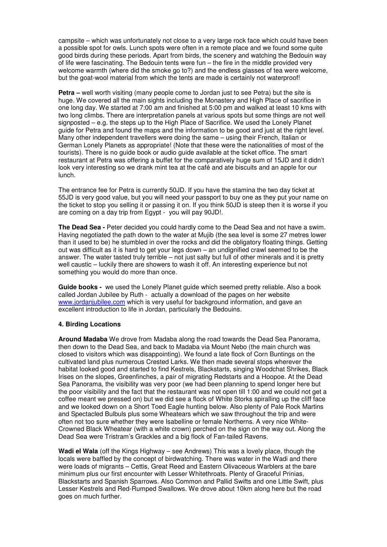campsite – which was unfortunately not close to a very large rock face which could have been a possible spot for owls. Lunch spots were often in a remote place and we found some quite good birds during these periods. Apart from birds, the scenery and watching the Bedouin way of life were fascinating. The Bedouin tents were fun – the fire in the middle provided very welcome warmth (where did the smoke go to?) and the endless glasses of tea were welcome, but the goat-wool material from which the tents are made is certainly not waterproof!

**Petra** – well worth visiting (many people come to Jordan just to see Petra) but the site is huge. We covered all the main sights including the Monastery and High Place of sacrifice in one long day. We started at 7:00 am and finished at 5:00 pm and walked at least 10 kms with two long climbs. There are interpretation panels at various spots but some things are not well signposted – e.g. the steps up to the High Place of Sacrifice. We used the Lonely Planet guide for Petra and found the maps and the information to be good and just at the right level. Many other independent travellers were doing the same – using their French, Italian or German Lonely Planets as appropriate! (Note that these were the nationalities of most of the tourists). There is no guide book or audio guide available at the ticket office. The smart restaurant at Petra was offering a buffet for the comparatively huge sum of 15JD and it didn't look very interesting so we drank mint tea at the café and ate biscuits and an apple for our lunch.

The entrance fee for Petra is currently 50JD. If you have the stamina the two day ticket at 55JD is very good value, but you will need your passport to buy one as they put your name on the ticket to stop you selling it or passing it on. If you think 50JD is steep then it is worse if you are coming on a day trip from Egypt - you will pay 90JD!.

**The Dead Sea -** Peter decided you could hardly come to the Dead Sea and not have a swim. Having negotiated the path down to the water at Mujib (the sea level is some 27 metres lower than it used to be) he stumbled in over the rocks and did the obligatory floating things. Getting out was difficult as it is hard to get your legs down – an undignified crawl seemed to be the answer. The water tasted truly terrible – not just salty but full of other minerals and it is pretty well caustic – luckily there are showers to wash it off. An interesting experience but not something you would do more than once.

**Guide books -** we used the Lonely Planet guide which seemed pretty reliable. Also a book called Jordan Jubilee by Ruth - actually a download of the pages on her website www.jordanjubilee.com which is very useful for background information, and gave an excellent introduction to life in Jordan, particularly the Bedouins.

## **4. Birding Locations**

**Around Madaba** We drove from Madaba along the road towards the Dead Sea Panorama, then down to the Dead Sea, and back to Madaba via Mount Nebo (the main church was closed to visitors which was disappointing). We found a late flock of Corn Buntings on the cultivated land plus numerous Crested Larks. We then made several stops wherever the habitat looked good and started to find Kestrels, Blackstarts, singing Woodchat Shrikes, Black Irises on the slopes, Greenfinches, a pair of migrating Redstarts and a Hoopoe. At the Dead Sea Panorama, the visibility was very poor (we had been planning to spend longer here but the poor visibility and the fact that the restaurant was not open till 1:00 and we could not get a coffee meant we pressed on) but we did see a flock of White Storks spiralling up the cliff face and we looked down on a Short Toed Eagle hunting below. Also plenty of Pale Rock Martins and Spectacled Bulbuls plus some Wheatears which we saw throughout the trip and were often not too sure whether they were Isabelline or female Northerns. A very nice White-Crowned Black Wheatear (with a white crown) perched on the sign on the way out. Along the Dead Sea were Tristram's Grackles and a big flock of Fan-tailed Ravens.

**Wadi el Wala** (off the Kings Highway – see Andrews) This was a lovely place, though the locals were baffled by the concept of birdwatching. There was water in the Wadi and there were loads of migrants – Cettis, Great Reed and Eastern Olivaceous Warblers at the bare minimum plus our first encounter with Lesser Whitethroats. Plenty of Graceful Prinias, Blackstarts and Spanish Sparrows. Also Common and Pallid Swifts and one Little Swift, plus Lesser Kestrels and Red-Rumped Swallows. We drove about 10km along here but the road goes on much further.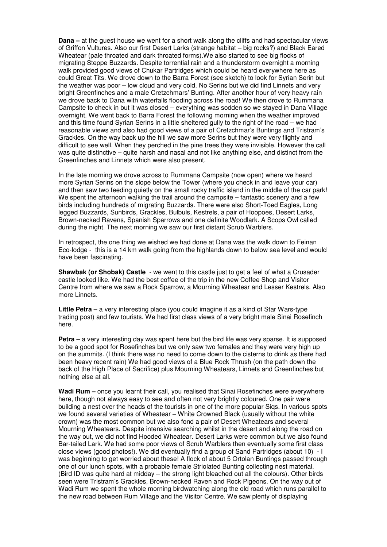**Dana** – at the quest house we went for a short walk along the cliffs and had spectacular views of Griffon Vultures. Also our first Desert Larks (strange habitat – big rocks?) and Black Eared Wheatear (pale throated and dark throated forms).We also started to see big flocks of migrating Steppe Buzzards. Despite torrential rain and a thunderstorm overnight a morning walk provided good views of Chukar Partridges which could be heard everywhere here as could Great Tits. We drove down to the Barra Forest (see sketch) to look for Syrian Serin but the weather was poor – low cloud and very cold. No Serins but we did find Linnets and very bright Greenfinches and a male Cretzchmars' Bunting. After another hour of very heavy rain we drove back to Dana with waterfalls flooding across the road! We then drove to Rummana Campsite to check in but it was closed – everything was sodden so we stayed in Dana Village overnight. We went back to Barra Forest the following morning when the weather improved and this time found Syrian Serins in a little sheltered gully to the right of the road – we had reasonable views and also had good views of a pair of Cretzchmar's Buntings and Tristram's Grackles. On the way back up the hill we saw more Serins but they were very flighty and difficult to see well. When they perched in the pine trees they were invisible. However the call was quite distinctive – quite harsh and nasal and not like anything else, and distinct from the Greenfinches and Linnets which were also present.

In the late morning we drove across to Rummana Campsite (now open) where we heard more Syrian Serins on the slope below the Tower (where you check in and leave your car) and then saw two feeding quietly on the small rocky traffic island in the middle of the car park! We spent the afternoon walking the trail around the campsite – fantastic scenery and a few birds including hundreds of migrating Buzzards. There were also Short-Toed Eagles, Long legged Buzzards, Sunbirds, Grackles, Bulbuls, Kestrels, a pair of Hoopoes, Desert Larks, Brown-necked Ravens, Spanish Sparrows and one definite Woodlark. A Scops Owl called during the night. The next morning we saw our first distant Scrub Warblers.

In retrospect, the one thing we wished we had done at Dana was the walk down to Feinan Eco-lodge - this is a 14 km walk going from the highlands down to below sea level and would have been fascinating.

**Shawbak (or Shobak) Castle** - we went to this castle just to get a feel of what a Crusader castle looked like. We had the best coffee of the trip in the new Coffee Shop and Visitor Centre from where we saw a Rock Sparrow, a Mourning Wheatear and Lesser Kestrels. Also more Linnets.

**Little Petra** – a very interesting place (you could imagine it as a kind of Star Wars-type trading post) and few tourists. We had first class views of a very bright male Sinai Rosefinch here.

**Petra** – a very interesting day was spent here but the bird life was very sparse. It is supposed to be a good spot for Rosefinches but we only saw two females and they were very high up on the summits. (I think there was no need to come down to the cisterns to drink as there had been heavy recent rain) We had good views of a Blue Rock Thrush (on the path down the back of the High Place of Sacrifice) plus Mourning Wheatears, Linnets and Greenfinches but nothing else at all.

**Wadi Rum –** once you learnt their call, you realised that Sinai Rosefinches were everywhere here, though not always easy to see and often not very brightly coloured. One pair were building a nest over the heads of the tourists in one of the more popular Siqs. In various spots we found several varieties of Wheatear – White Crowned Black (usually without the white crown) was the most common but we also fond a pair of Desert Wheatears and several Mourning Wheatears. Despite intensive searching whilst in the desert and along the road on the way out, we did not find Hooded Wheatear. Desert Larks were common but we also found Bar-tailed Lark. We had some poor views of Scrub Warblers then eventually some first class close views (good photos!). We did eventually find a group of Sand Partridges (about 10) - I was beginning to get worried about these! A flock of about 5 Ortolan Buntings passed through one of our lunch spots, with a probable female Striolated Bunting collecting nest material. (Bird ID was quite hard at midday – the strong light bleached out all the colours). Other birds seen were Tristram's Grackles, Brown-necked Raven and Rock Pigeons. On the way out of Wadi Rum we spent the whole morning birdwatching along the old road which runs parallel to the new road between Rum Village and the Visitor Centre. We saw plenty of displaying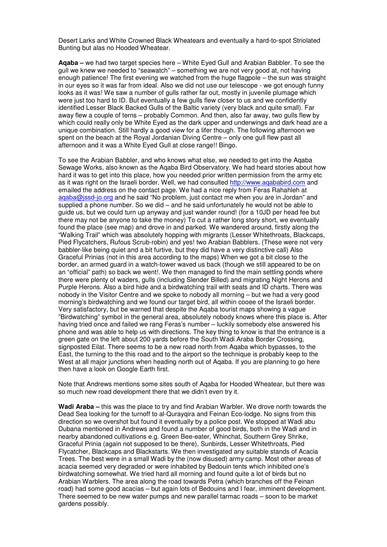Desert Larks and White Crowned Black Wheatears and eventually a hard-to-spot Striolated Bunting but alas no Hooded Wheatear.

**Aqaba –** we had two target species here – White Eyed Gull and Arabian Babbler. To see the gull we knew we needed to "seawatch" – something we are not very good at, not having enough patience! The first evening we watched from the huge flagpole – the sun was straight in our eyes so it was far from ideal. Also we did not use our telescope - we got enough funny looks as it was! We saw a number of gulls rather far out, mostly in juvenile plumage which were just too hard to ID. But eventually a few gulls flew closer to us and we confidently identified Lesser Black Backed Gulls of the Baltic variety (very black and quite small). Far away flew a couple of terns – probably Common. And then, also far away, two gulls flew by which could really only be White Eyed as the dark upper and underwings and dark head are a unique combination. Still hardly a good view for a lifer though. The following afternoon we spent on the beach at the Royal Jordanian Diving Centre – only one gull flew past all afternoon and it was a White Eyed Gull at close range!! Bingo.

To see the Arabian Babbler, and who knows what else, we needed to get into the Aqaba Sewage Works, also known as the Aqaba Bird Observatory. We had heard stories about how hard it was to get into this place, how you needed prior written permission from the army etc as it was right on the Israeli border. Well, we had consulted http://www.aqababird.com and emailed the address on the contact page. We had a nice reply from Feras Rahahleh at aqaba@jssd-jo.org and he said "No problem, just contact me when you are in Jordan" and supplied a phone number. So we did – and he said unfortunately he would not be able to guide us, but we could turn up anyway and just wander round! (for a 10JD per head fee but there may not be anyone to take the money) To cut a rather long story short, we eventually found the place (see map) and drove in and parked. We wandered around, firstly along the "Walking Trail" which was absolutely hopping with migrants (Lesser Whitethroats, Blackcaps, Pied Flycatchers, Rufous Scrub-robin) and yes! two Arabian Babblers. (These were not very babbler-like being quiet and a bit furtive, but they did have a very distinctive call) Also Graceful Prinias (not in this area according to the maps) When we got a bit close to the border, an armed guard in a watch-tower waved us back (though we still appeared to be on an "official" path) so back we went!. We then managed to find the main settling ponds where there were plenty of waders, gulls (including Slender Billed) and migrating Night Herons and Purple Herons. Also a bird hide and a birdwatching trail with seats and ID charts. There was nobody in the Visitor Centre and we spoke to nobody all morning – but we had a very good morning's birdwatching and we found our target bird, all within cooee of the Israeli border. Very satisfactory, but be warned that despite the Aqaba tourist maps showing a vague "Birdwatching" symbol in the general area, absolutely nobody knows where this place is. After having tried once and failed we rang Feras's number – luckily somebody else answered his phone and was able to help us with directions. The key thing to know is that the entrance is a green gate on the left about 200 yards before the South Wadi Araba Border Crossing, signposted Eilat. There seems to be a new road north from Aqaba which bypasses, to the East, the turning to the this road and to the airport so the technique is probably keep to the West at all major junctions when heading north out of Aqaba. If you are planning to go here then have a look on Google Earth first.

Note that Andrews mentions some sites south of Aqaba for Hooded Wheatear, but there was so much new road development there that we didn't even try it.

**Wadi Araba –** this was the place to try and find Arabian Warbler. We drove north towards the Dead Sea looking for the turnoff to al-Qurayqira and Feinan Eco-lodge. No signs from this direction so we overshot but found it eventually by a police post. We stopped at Wadi abu Dubana mentioned in Andrews and found a number of good birds, both in the Wadi and in nearby abandoned cultivations e.g. Green Bee-eater, Whinchat, Southern Grey Shrike, Graceful Prinia (again not supposed to be there), Sunbirds, Lesser Whitethroats, Pied Flycatcher, Blackcaps and Blackstarts. We then investigated any suitable stands of Acacia Trees. The best were in a small Wadi by the (now disused) army camp. Most other areas of acacia seemed very degraded or were inhabited by Bedouin tents which inhibited one's birdwatching somewhat. We tried hard all morning and found quite a lot of birds but no Arabian Warblers. The area along the road towards Petra (which branches off the Feinan road) had some good acacias – but again lots of Bedouins and I fear, imminent development. There seemed to be new water pumps and new parallel tarmac roads – soon to be market gardens possibly.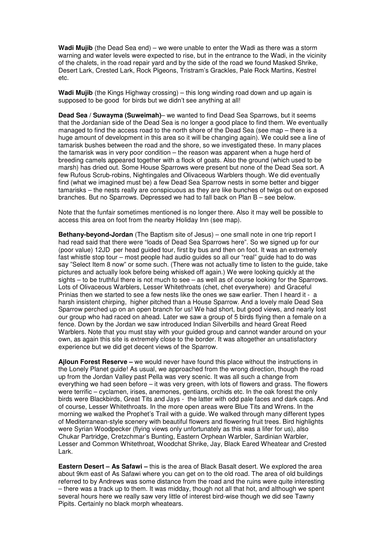**Wadi Mujib** (the Dead Sea end) – we were unable to enter the Wadi as there was a storm warning and water levels were expected to rise, but in the entrance to the Wadi, in the vicinity of the chalets, in the road repair yard and by the side of the road we found Masked Shrike, Desert Lark, Crested Lark, Rock Pigeons, Tristram's Grackles, Pale Rock Martins, Kestrel etc.

**Wadi Mujib** (the Kings Highway crossing) – this long winding road down and up again is supposed to be good for birds but we didn't see anything at all!

**Dead Sea / Suwayma (Suweimah)**– we wanted to find Dead Sea Sparrows, but it seems that the Jordanian side of the Dead Sea is no longer a good place to find them. We eventually managed to find the access road to the north shore of the Dead Sea (see map – there is a huge amount of development in this area so it will be changing again). We could see a line of tamarisk bushes between the road and the shore, so we investigated these. In many places the tamarisk was in very poor condition – the reason was apparent when a huge herd of breeding camels appeared together with a flock of goats. Also the ground (which used to be marsh) has dried out. Some House Sparrows were present but none of the Dead Sea sort. A few Rufous Scrub-robins, Nightingales and Olivaceous Warblers though. We did eventually find (what we imagined must be) a few Dead Sea Sparrow nests in some better and bigger tamarisks – the nests really are conspicuous as they are like bunches of twigs out on exposed branches. But no Sparrows. Depressed we had to fall back on Plan B – see below.

Note that the funfair sometimes mentioned is no longer there. Also it may well be possible to access this area on foot from the nearby Holiday Inn (see map).

**Bethany-beyond-Jordan** (The Baptism site of Jesus) – one small note in one trip report I had read said that there were "loads of Dead Sea Sparrows here". So we signed up for our (poor value) 12JD per head guided tour, first by bus and then on foot. It was an extremely fast whistle stop tour – most people had audio guides so all our "real" guide had to do was say "Select Item 8 now" or some such. (There was not actually time to listen to the guide, take pictures and actually look before being whisked off again.) We were looking quickly at the sights – to be truthful there is not much to see – as well as of course looking for the Sparrows. Lots of Olivaceous Warblers, Lesser Whitethroats (chet, chet everywhere) and Graceful Prinias then we started to see a few nests like the ones we saw earlier. Then I heard it - a harsh insistent chirping, higher pitched than a House Sparrow. And a lovely male Dead Sea Sparrow perched up on an open branch for us! We had short, but good views, and nearly lost our group who had raced on ahead. Later we saw a group of 5 birds flying then a female on a fence. Down by the Jordan we saw introduced Indian Silverbills and heard Great Reed Warblers. Note that you must stay with your guided group and cannot wander around on your own, as again this site is extremely close to the border. It was altogether an unsatisfactory experience but we did get decent views of the Sparrow.

**Ajloun Forest Reserve –** we would never have found this place without the instructions in the Lonely Planet guide! As usual, we approached from the wrong direction, though the road up from the Jordan Valley past Pella was very scenic. It was all such a change from everything we had seen before – it was very green, with lots of flowers and grass. The flowers were terrific – cyclamen, irises, anemones, gentians, orchids etc. In the oak forest the only birds were Blackbirds, Great Tits and Jays - the latter with odd pale faces and dark caps. And of course, Lesser Whitethroats. In the more open areas were Blue Tits and Wrens. In the morning we walked the Prophet's Trail with a guide. We walked through many different types of Mediterranean-style scenery with beautiful flowers and flowering fruit trees. Bird highlights were Syrian Woodpecker (flying views only unfortunately as this was a lifer for us), also Chukar Partridge, Cretzchmar's Bunting, Eastern Orphean Warbler, Sardinian Warbler, Lesser and Common Whitethroat, Woodchat Shrike, Jay, Black Eared Wheatear and Crested Lark.

**Eastern Desert – As Safawi –** this is the area of Black Basalt desert. We explored the area about 9km east of As Safawi where you can get on to the old road. The area of old buildings referred to by Andrews was some distance from the road and the ruins were quite interesting – there was a track up to them. It was midday, though not all that hot, and although we spent several hours here we really saw very little of interest bird-wise though we did see Tawny Pipits. Certainly no black morph wheatears.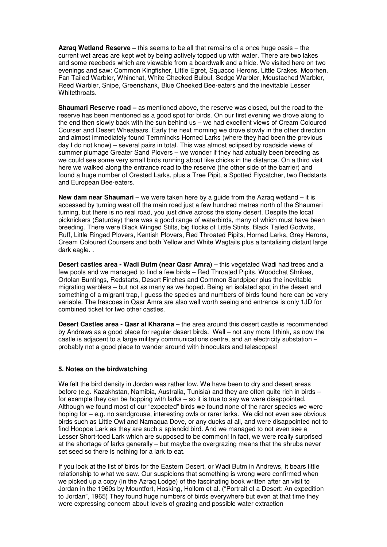**Azraq Wetland Reserve –** this seems to be all that remains of a once huge oasis – the current wet areas are kept wet by being actively topped up with water. There are two lakes and some reedbeds which are viewable from a boardwalk and a hide. We visited here on two evenings and saw: Common Kingfisher, Little Egret, Squacco Herons, Little Crakes, Moorhen, Fan Tailed Warbler, Whinchat, White Cheeked Bulbul, Sedge Warbler, Moustached Warbler, Reed Warbler, Snipe, Greenshank, Blue Cheeked Bee-eaters and the inevitable Lesser Whitethroats.

**Shaumari Reserve road –** as mentioned above, the reserve was closed, but the road to the reserve has been mentioned as a good spot for birds. On our first evening we drove along to the end then slowly back with the sun behind us – we had excellent views of Cream Coloured Courser and Desert Wheatears. Early the next morning we drove slowly in the other direction and almost immediately found Temmincks Horned Larks (where they had been the previous day I do not know) – several pairs in total. This was almost eclipsed by roadside views of summer plumage Greater Sand Plovers – we wonder if they had actually been breeding as we could see some very small birds running about like chicks in the distance. On a third visit here we walked along the entrance road to the reserve (the other side of the barrier) and found a huge number of Crested Larks, plus a Tree Pipit, a Spotted Flycatcher, two Redstarts and European Bee-eaters.

**New dam near Shaumari** – we were taken here by a guide from the Azraq wetland – it is accessed by turning west off the main road just a few hundred metres north of the Shaumari turning, but there is no real road, you just drive across the stony desert. Despite the local picknickers (Saturday) there was a good range of waterbirds, many of which must have been breeding. There were Black Winged Stilts, big flocks of Little Stints, Black Tailed Godwits, Ruff, Little Ringed Plovers, Kentish Plovers, Red Throated Pipits, Horned Larks, Grey Herons, Cream Coloured Coursers and both Yellow and White Wagtails plus a tantalising distant large dark eagle. .

**Desert castles area - Wadi Butm (near Qasr Amra)** – this vegetated Wadi had trees and a few pools and we managed to find a few birds – Red Throated Pipits, Woodchat Shrikes, Ortolan Buntings, Redstarts, Desert Finches and Common Sandpiper plus the inevitable migrating warblers – but not as many as we hoped. Being an isolated spot in the desert and something of a migrant trap, I guess the species and numbers of birds found here can be very variable. The frescoes in Qasr Amra are also well worth seeing and entrance is only 1JD for combined ticket for two other castles.

**Desert Castles area - Qasr al Kharana –** the area around this desert castle is recommended by Andrews as a good place for regular desert birds. Well – not any more I think, as now the castle is adjacent to a large military communications centre, and an electricity substation – probably not a good place to wander around with binoculars and telescopes!

#### **5. Notes on the birdwatching**

We felt the bird density in Jordan was rather low. We have been to dry and desert areas before (e.g. Kazakhstan, Namibia, Australia, Tunisia) and they are often quite rich in birds – for example they can be hopping with larks – so it is true to say we were disappointed. Although we found most of our "expected" birds we found none of the rarer species we were hoping for – e.g. no sandgrouse, interesting owls or rarer larks. We did not even see obvious birds such as Little Owl and Namaqua Dove, or any ducks at all, and were disappointed not to find Hoopoe Lark as they are such a splendid bird. And we managed to not even see a Lesser Short-toed Lark which are supposed to be common! In fact, we were really surprised at the shortage of larks generally – but maybe the overgrazing means that the shrubs never set seed so there is nothing for a lark to eat.

If you look at the list of birds for the Eastern Desert, or Wadi Butm in Andrews, it bears little relationship to what we saw. Our suspicions that something is wrong were confirmed when we picked up a copy (in the Azraq Lodge) of the fascinating book written after an visit to Jordan in the 1960s by Mountfort, Hosking, Hollom et al. ("Portrait of a Desert: An expedition to Jordan", 1965) They found huge numbers of birds everywhere but even at that time they were expressing concern about levels of grazing and possible water extraction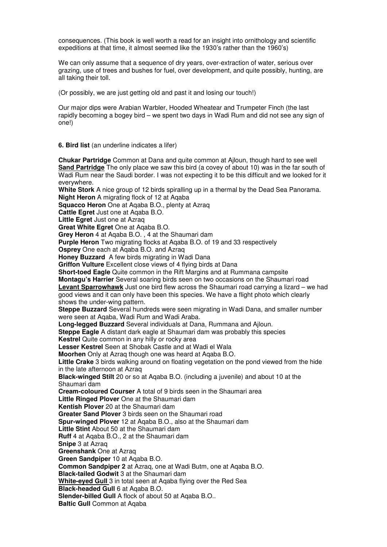consequences. (This book is well worth a read for an insight into ornithology and scientific expeditions at that time, it almost seemed like the 1930's rather than the 1960's)

We can only assume that a sequence of dry years, over-extraction of water, serious over grazing, use of trees and bushes for fuel, over development, and quite possibly, hunting, are all taking their toll.

(Or possibly, we are just getting old and past it and losing our touch!)

Our major dips were Arabian Warbler, Hooded Wheatear and Trumpeter Finch (the last rapidly becoming a bogey bird – we spent two days in Wadi Rum and did not see any sign of one!)

**6. Bird list** (an underline indicates a lifer)

**Chukar Partridge** Common at Dana and quite common at Ajloun, though hard to see well **Sand Partridge** The only place we saw this bird (a covey of about 10) was in the far south of Wadi Rum near the Saudi border. I was not expecting it to be this difficult and we looked for it everywhere.

**White Stork** A nice group of 12 birds spiralling up in a thermal by the Dead Sea Panorama. **Night Heron** A migrating flock of 12 at Aqaba

**Squacco Heron** One at Aqaba B.O., plenty at Azraq

**Cattle Egret** Just one at Aqaba B.O.

**Little Egret** Just one at Azraq

**Great White Egret** One at Aqaba B.O.

**Grey Heron** 4 at Aqaba B.O. , 4 at the Shaumari dam

**Purple Heron** Two migrating flocks at Aqaba B.O. of 19 and 33 respectively

**Osprey** One each at Aqaba B.O. and Azraq

**Honey Buzzard** A few birds migrating in Wadi Dana

**Griffon Vulture** Excellent close views of 4 flying birds at Dana

**Short-toed Eagle** Quite common in the Rift Margins and at Rummana campsite

**Montagu's Harrier** Several soaring birds seen on two occasions on the Shaumari road **Levant Sparrowhawk** Just one bird flew across the Shaumari road carrying a lizard – we had good views and it can only have been this species. We have a flight photo which clearly shows the under-wing pattern.

**Steppe Buzzard** Several hundreds were seen migrating in Wadi Dana, and smaller number were seen at Aqaba, Wadi Rum and Wadi Araba.

**Long-legged Buzzard** Several individuals at Dana, Rummana and Ajloun.

**Steppe Eagle** A distant dark eagle at Shaumari dam was probably this species **Kestrel** Quite common in any hilly or rocky area

**Lesser Kestrel** Seen at Shobak Castle and at Wadi el Wala

**Moorhen** Only at Azraq though one was heard at Aqaba B.O.

**Little Crake** 3 birds walking around on floating vegetation on the pond viewed from the hide in the late afternoon at Azraq

**Black-winged Stilt** 20 or so at Aqaba B.O. (including a juvenile) and about 10 at the Shaumari dam

**Cream-coloured Courser** A total of 9 birds seen in the Shaumari area

**Little Ringed Plover** One at the Shaumari dam

**Kentish Plover** 20 at the Shaumari dam

**Greater Sand Plover** 3 birds seen on the Shaumari road

**Spur-winged Plover** 12 at Aqaba B.O., also at the Shaumari dam

**Little Stint** About 50 at the Shaumari dam

**Ruff** 4 at Aqaba B.O., 2 at the Shaumari dam

**Snipe** 3 at Azraq

**Greenshank** One at Azraq

**Green Sandpiper** 10 at Aqaba B.O.

**Common Sandpiper 2** at Azraq, one at Wadi Butm, one at Aqaba B.O.

**Black-tailed Godwit** 3 at the Shaumari dam

**White-eyed Gull** 3 in total seen at Aqaba flying over the Red Sea

**Black-headed Gull** 6 at Aqaba B.O.

**Slender-billed Gull** A flock of about 50 at Aqaba B.O..

**Baltic Gull** Common at Aqaba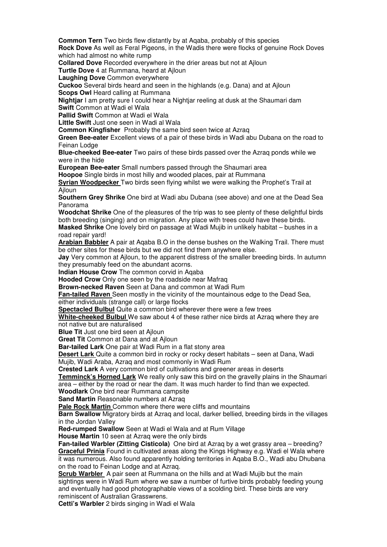**Common Tern** Two birds flew distantly by at Aqaba, probably of this species

**Rock Dove** As well as Feral Pigeons, in the Wadis there were flocks of genuine Rock Doves which had almost no white rump

**Collared Dove** Recorded everywhere in the drier areas but not at Ajloun

**Turtle Dove** 4 at Rummana, heard at Ajloun

**Laughing Dove** Common everywhere

**Cuckoo** Several birds heard and seen in the highlands (e.g. Dana) and at Ajloun **Scops Owl Heard calling at Rummana** 

**Nightiar** I am pretty sure I could hear a Nightiar reeling at dusk at the Shaumari dam

**Swift** Common at Wadi el Wala

**Pallid Swift** Common at Wadi el Wala

**Little Swift** Just one seen in Wadi al Wala

**Common Kingfisher** Probably the same bird seen twice at Azraq

**Green Bee-eater** Excellent views of a pair of these birds in Wadi abu Dubana on the road to Feinan Lodge

**Blue-cheeked Bee-eater** Two pairs of these birds passed over the Azraq ponds while we were in the hide

**European Bee-eater** Small numbers passed through the Shaumari area

**Hoopoe** Single birds in most hilly and wooded places, pair at Rummana

**Syrian Woodpecker** Two birds seen flying whilst we were walking the Prophet's Trail at **Ailoun** 

**Southern Grey Shrike** One bird at Wadi abu Dubana (see above) and one at the Dead Sea Panorama

**Woodchat Shrike** One of the pleasures of the trip was to see plenty of these delightful birds both breeding (singing) and on migration. Any place with trees could have these birds.

**Masked Shrike** One lovely bird on passage at Wadi Mujib in unlikely habitat – bushes in a road repair yard!

**Arabian Babbler** A pair at Aqaba B.O in the dense bushes on the Walking Trail. There must be other sites for these birds but we did not find them anywhere else.

**Jay** Very common at Ailoun, to the apparent distress of the smaller breeding birds. In autumn they presumably feed on the abundant acorns.

**Indian House Crow** The common corvid in Aqaba

**Hooded Crow** Only one seen by the roadside near Mafraq

**Brown-necked Raven** Seen at Dana and common at Wadi Rum

**Fan-tailed Raven** Seen mostly in the vicinity of the mountainous edge to the Dead Sea,

either individuals (strange call) or large flocks

**Spectacled Bulbul** Quite a common bird wherever there were a few trees

**White-cheeked Bulbul** We saw about 4 of these rather nice birds at Azraq where they are not native but are naturalised

**Blue Tit Just one bird seen at Ailoun** 

**Great Tit** Common at Dana and at Ajloun

**Bar-tailed Lark** One pair at Wadi Rum in a flat stony area

**Desert Lark** Quite a common bird in rocky or rocky desert habitats – seen at Dana, Wadi Mujib, Wadi Araba, Azraq and most commonly in Wadi Rum

**Crested Lark** A very common bird of cultivations and greener areas in deserts

**Temminck's Horned Lark** We really only saw this bird on the gravelly plains in the Shaumari area – either by the road or near the dam. It was much harder to find than we expected.

**Woodlark** One bird near Rummana campsite

**Sand Martin Reasonable numbers at Azraq** 

**Pale Rock Martin** Common where there were cliffs and mountains

**Barn Swallow** Migratory birds at Azraq and local, darker bellied, breeding birds in the villages in the Jordan Valley

**Red-rumped Swallow** Seen at Wadi el Wala and at Rum Village

**House Martin** 10 seen at Azraq were the only birds

**Fan-tailed Warbler (Zitting Cisticola)** One bird at Azraq by a wet grassy area – breeding? **Graceful Prinia** Found in cultivated areas along the Kings Highway e.g. Wadi el Wala where it was numerous. Also found apparently holding territories in Aqaba B.O., Wadi abu Dhubana on the road to Feinan Lodge and at Azraq.

**Scrub Warbler** A pair seen at Rummana on the hills and at Wadi Mujib but the main sightings were in Wadi Rum where we saw a number of furtive birds probably feeding young and eventually had good photographable views of a scolding bird. These birds are very reminiscent of Australian Grasswrens.

**Cetti's Warbler** 2 birds singing in Wadi el Wala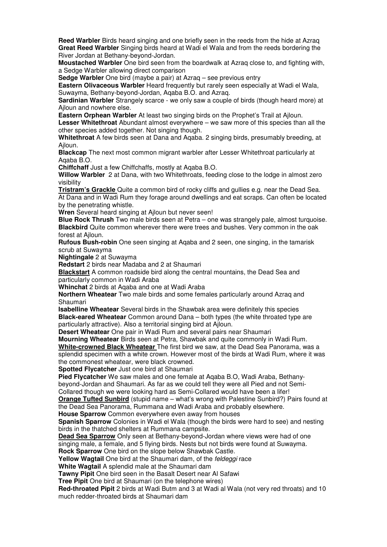**Reed Warbler** Birds heard singing and one briefly seen in the reeds from the hide at Azraq **Great Reed Warbler** Singing birds heard at Wadi el Wala and from the reeds bordering the River Jordan at Bethany-beyond-Jordan.

**Moustached Warbler** One bird seen from the boardwalk at Azraq close to, and fighting with, a Sedge Warbler allowing direct comparison

**Sedge Warbler** One bird (maybe a pair) at Azraq – see previous entry

**Eastern Olivaceous Warbler** Heard frequently but rarely seen especially at Wadi el Wala, Suwayma, Bethany-beyond-Jordan, Aqaba B.O. and Azraq.

**Sardinian Warbler** Strangely scarce - we only saw a couple of birds (though heard more) at Ajloun and nowhere else.

**Eastern Orphean Warbler** At least two singing birds on the Prophet's Trail at Ajloun.

**Lesser Whitethroat** Abundant almost everywhere – we saw more of this species than all the other species added together. Not singing though.

**Whitethroat** A few birds seen at Dana and Aqaba. 2 singing birds, presumably breeding, at Ajloun.

**Blackcap** The next most common migrant warbler after Lesser Whitethroat particularly at Aqaba B.O.

**Chiffchaff** Just a few Chiffchaffs, mostly at Aqaba B.O.

**Willow Warbler** 2 at Dana, with two Whitethroats, feeding close to the lodge in almost zero visibility

**Tristram's Grackle** Quite a common bird of rocky cliffs and gullies e.g. near the Dead Sea. At Dana and in Wadi Rum they forage around dwellings and eat scraps. Can often be located by the penetrating whistle.

**Wren** Several heard singing at Ajloun but never seen!

**Blue Rock Thrush** Two male birds seen at Petra – one was strangely pale, almost turquoise. **Blackbird** Quite common wherever there were trees and bushes. Very common in the oak forest at Ailoun.

**Rufous Bush-robin** One seen singing at Aqaba and 2 seen, one singing, in the tamarisk scrub at Suwayma

**Nightingale** 2 at Suwayma

**Redstart** 2 birds near Madaba and 2 at Shaumari

**Blackstart** A common roadside bird along the central mountains, the Dead Sea and particularly common in Wadi Araba

**Whinchat** 2 birds at Aqaba and one at Wadi Araba

**Northern Wheatear** Two male birds and some females particularly around Azraq and Shaumari

**Isabelline Wheatear** Several birds in the Shawbak area were definitely this species **Black-eared Wheatear** Common around Dana – both types (the white throated type are particularly attractive). Also a territorial singing bird at Ajloun.

**Desert Wheatear** One pair in Wadi Rum and several pairs near Shaumari

**Mourning Wheatear** Birds seen at Petra, Shawbak and quite commonly in Wadi Rum. **White-crowned Black Wheatear** The first bird we saw, at the Dead Sea Panorama, was a splendid specimen with a white crown. However most of the birds at Wadi Rum, where it was the commonest wheatear, were black crowned.

**Spotted Flycatcher** Just one bird at Shaumari

**Pied Flycatcher** We saw males and one female at Aqaba B.O, Wadi Araba, Bethanybeyond-Jordan and Shaumari. As far as we could tell they were all Pied and not Semi-Collared though we were looking hard as Semi-Collared would have been a lifer!

**Orange Tufted Sunbird** (stupid name – what's wrong with Palestine Sunbird?) Pairs found at the Dead Sea Panorama, Rummana and Wadi Araba and probably elsewhere.

**House Sparrow** Common everywhere even away from houses

**Spanish Sparrow** Colonies in Wadi el Wala (though the birds were hard to see) and nesting birds in the thatched shelters at Rummana campsite.

**Dead Sea Sparrow** Only seen at Bethany-beyond-Jordan where views were had of one singing male, a female, and 5 flying birds. Nests but not birds were found at Suwayma.

**Rock Sparrow** One bird on the slope below Shawbak Castle.

Yellow Wagtail One bird at the Shaumari dam, of the *feldeggi* race

**White Wagtail** A splendid male at the Shaumari dam

**Tawny Pipit** One bird seen in the Basalt Desert near Al Safawi

**Tree Pipit** One bird at Shaumari (on the telephone wires)

**Red-throated Pipit** 2 birds at Wadi Butm and 3 at Wadi al Wala (not very red throats) and 10 much redder-throated birds at Shaumari dam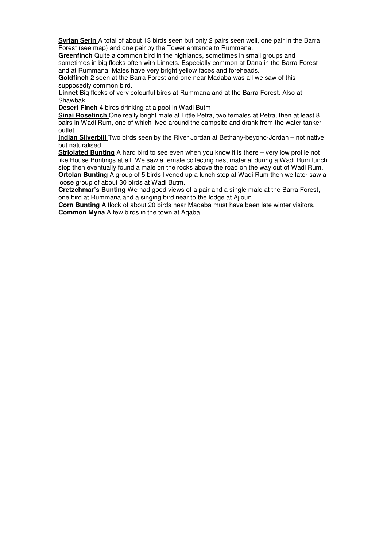**Syrian Serin** A total of about 13 birds seen but only 2 pairs seen well, one pair in the Barra Forest (see map) and one pair by the Tower entrance to Rummana.

**Greenfinch** Quite a common bird in the highlands, sometimes in small groups and sometimes in big flocks often with Linnets. Especially common at Dana in the Barra Forest and at Rummana. Males have very bright yellow faces and foreheads.

**Goldfinch** 2 seen at the Barra Forest and one near Madaba was all we saw of this supposedly common bird.

**Linnet** Big flocks of very colourful birds at Rummana and at the Barra Forest. Also at Shawbak.

**Desert Finch** 4 birds drinking at a pool in Wadi Butm

**Sinai Rosefinch** One really bright male at Little Petra, two females at Petra, then at least 8 pairs in Wadi Rum, one of which lived around the campsite and drank from the water tanker outlet.

**Indian Silverbill** Two birds seen by the River Jordan at Bethany-beyond-Jordan – not native but naturalised.

**Striolated Bunting** A hard bird to see even when you know it is there – very low profile not like House Buntings at all. We saw a female collecting nest material during a Wadi Rum lunch stop then eventually found a male on the rocks above the road on the way out of Wadi Rum. **Ortolan Bunting** A group of 5 birds livened up a lunch stop at Wadi Rum then we later saw a loose group of about 30 birds at Wadi Butm.

**Cretzchmar's Bunting** We had good views of a pair and a single male at the Barra Forest, one bird at Rummana and a singing bird near to the lodge at Ajloun.

**Corn Bunting** A flock of about 20 birds near Madaba must have been late winter visitors. **Common Myna** A few birds in the town at Aqaba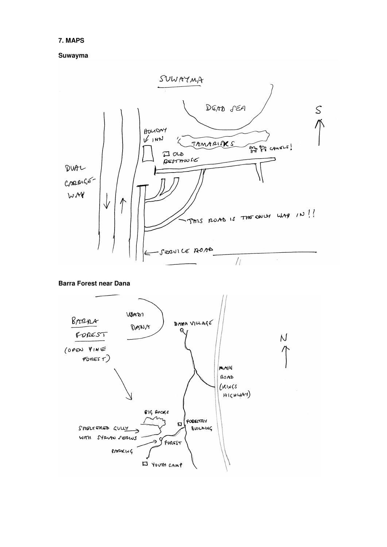# **7. MAPS**

**Suwayma**